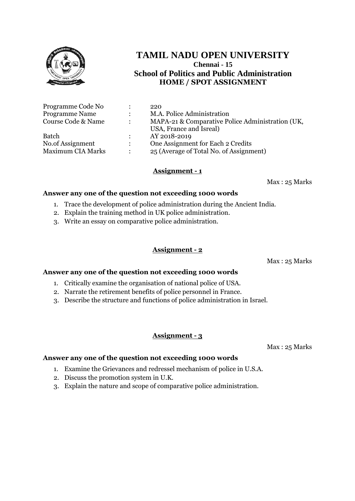

# **TAMIL NADU OPEN UNIVERSITY Chennai - 15 School of Politics and Public Administration HOME / SPOT ASSIGNMENT**

| Programme Code No        |                | 220                                              |
|--------------------------|----------------|--------------------------------------------------|
| <b>Programme Name</b>    | $\mathcal{L}$  | M.A. Police Administration                       |
| Course Code & Name       | $\mathcal{L}$  | MAPA-21 & Comparative Police Administration (UK, |
|                          |                | USA, France and Isreal)                          |
| <b>Batch</b>             | $\mathbb{R}^n$ | AY 2018-2019                                     |
| No.of Assignment         | $\mathcal{L}$  | One Assignment for Each 2 Credits                |
| <b>Maximum CIA Marks</b> | $\bullet$      | 25 (Average of Total No. of Assignment)          |

## **Assignment - 1**

Max : 25 Marks

## **Answer any one of the question not exceeding 1000 words**

- 1. Trace the development of police administration during the Ancient India.
- 2. Explain the training method in UK police administration.
- 3. Write an essay on comparative police administration.

# **Assignment - 2**

Max : 25 Marks

## **Answer any one of the question not exceeding 1000 words**

- 1. Critically examine the organisation of national police of USA.
- 2. Narrate the retirement benefits of police personnel in France.
- 3. Describe the structure and functions of police administration in Israel.

## **Assignment - 3**

Max : 25 Marks

- 1. Examine the Grievances and redressel mechanism of police in U.S.A.
- 2. Discuss the promotion system in U.K.
- 3. Explain the nature and scope of comparative police administration.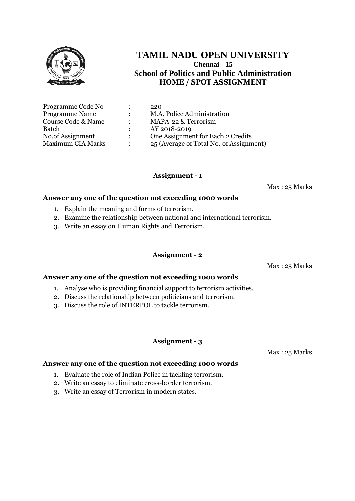

# **TAMIL NADU OPEN UNIVERSITY Chennai - 15 School of Politics and Public Administration HOME / SPOT ASSIGNMENT**

| Programme Code No        |               | 220                                     |
|--------------------------|---------------|-----------------------------------------|
| <b>Programme Name</b>    | $\mathcal{L}$ | M.A. Police Administration              |
| Course Code & Name       | $\mathcal{L}$ | MAPA-22 & Terrorism                     |
| Batch                    |               | AY 2018-2019                            |
| No.of Assignment         | $\mathcal{L}$ | One Assignment for Each 2 Credits       |
| <b>Maximum CIA Marks</b> |               | 25 (Average of Total No. of Assignment) |

## **Assignment - 1**

Max : 25 Marks

#### **Answer any one of the question not exceeding 1000 words**

- 1. Explain the meaning and forms of terrorism.
- 2. Examine the relationship between national and international terrorism.
- 3. Write an essay on Human Rights and Terrorism.

#### **Assignment - 2**

Max : 25 Marks

#### **Answer any one of the question not exceeding 1000 words**

- 1. Analyse who is providing financial support to terrorism activities.
- 2. Discuss the relationship between politicians and terrorism.
- 3. Discuss the role of INTERPOL to tackle terrorism.

## **Assignment - 3**

Max : 25 Marks

- 1. Evaluate the role of Indian Police in tackling terrorism.
- 2. Write an essay to eliminate cross-border terrorism.
- 3. Write an essay of Terrorism in modern states.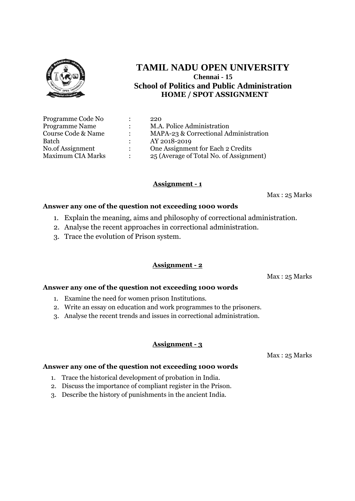

# **TAMIL NADU OPEN UNIVERSITY Chennai - 15 School of Politics and Public Administration HOME / SPOT ASSIGNMENT**

| Programme Code No        |               | 220                                     |
|--------------------------|---------------|-----------------------------------------|
| <b>Programme Name</b>    | $\mathcal{L}$ | M.A. Police Administration              |
| Course Code & Name       |               | MAPA-23 & Correctional Administration   |
| Batch                    |               | AY 2018-2019                            |
| No.of Assignment         |               | One Assignment for Each 2 Credits       |
| <b>Maximum CIA Marks</b> |               | 25 (Average of Total No. of Assignment) |

# **Assignment - 1**

Max : 25 Marks

#### **Answer any one of the question not exceeding 1000 words**

- 1. Explain the meaning, aims and philosophy of correctional administration.
- 2. Analyse the recent approaches in correctional administration.
- 3. Trace the evolution of Prison system.

## **Assignment - 2**

Max : 25 Marks

#### **Answer any one of the question not exceeding 1000 words**

- 1. Examine the need for women prison Institutions.
- 2. Write an essay on education and work programmes to the prisoners.
- 3. Analyse the recent trends and issues in correctional administration.

## **Assignment - 3**

Max : 25 Marks

- 1. Trace the historical development of probation in India.
- 2. Discuss the importance of compliant register in the Prison.
- 3. Describe the history of punishments in the ancient India.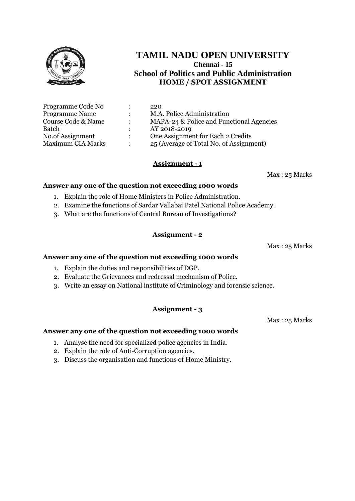

# **TAMIL NADU OPEN UNIVERSITY Chennai - 15 School of Politics and Public Administration HOME / SPOT ASSIGNMENT**

| Programme Code No        |                      | 220                                      |
|--------------------------|----------------------|------------------------------------------|
| <b>Programme Name</b>    |                      | M.A. Police Administration               |
| Course Code & Name       | $\ddot{\phantom{0}}$ | MAPA-24 & Police and Functional Agencies |
| Batch                    |                      | AY 2018-2019                             |
| No.of Assignment         |                      | One Assignment for Each 2 Credits        |
| <b>Maximum CIA Marks</b> |                      | 25 (Average of Total No. of Assignment)  |

# **Assignment - 1**

Max : 25 Marks

## **Answer any one of the question not exceeding 1000 words**

- 1. Explain the role of Home Ministers in Police Administration.
- 2. Examine the functions of Sardar Vallabai Patel National Police Academy.
- 3. What are the functions of Central Bureau of Investigations?

## **Assignment - 2**

Max : 25 Marks

#### **Answer any one of the question not exceeding 1000 words**

- 1. Explain the duties and responsibilities of DGP.
- 2. Evaluate the Grievances and redressal mechanism of Police.
- 3. Write an essay on National institute of Criminology and forensic science.

## **Assignment - 3**

Max : 25 Marks

- 1. Analyse the need for specialized police agencies in India.
- 2. Explain the role of Anti-Corruption agencies.
- 3. Discuss the organisation and functions of Home Ministry.